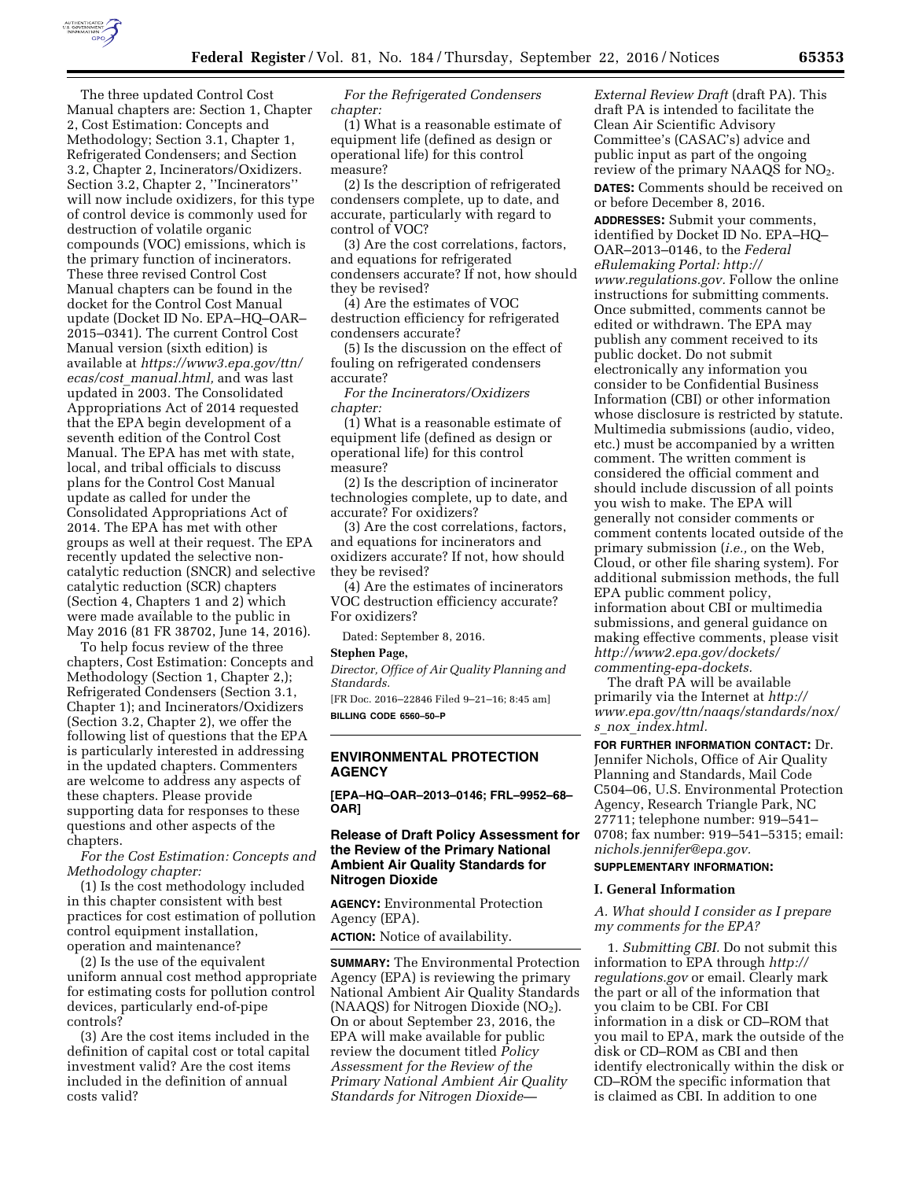

The three updated Control Cost Manual chapters are: Section 1, Chapter 2, Cost Estimation: Concepts and Methodology; Section 3.1, Chapter 1, Refrigerated Condensers; and Section 3.2, Chapter 2, Incinerators/Oxidizers. Section 3.2, Chapter 2, ''Incinerators'' will now include oxidizers, for this type of control device is commonly used for destruction of volatile organic compounds (VOC) emissions, which is the primary function of incinerators. These three revised Control Cost Manual chapters can be found in the docket for the Control Cost Manual update (Docket ID No. EPA–HQ–OAR– 2015–0341). The current Control Cost Manual version (sixth edition) is available at *[https://www3.epa.gov/ttn/](https://www3.epa.gov/ttn/ecas/cost_manual.html) ecas/cost*\_*[manual.html,](https://www3.epa.gov/ttn/ecas/cost_manual.html)* and was last updated in 2003. The Consolidated Appropriations Act of 2014 requested that the EPA begin development of a seventh edition of the Control Cost Manual. The EPA has met with state, local, and tribal officials to discuss plans for the Control Cost Manual update as called for under the Consolidated Appropriations Act of 2014. The EPA has met with other groups as well at their request. The EPA recently updated the selective noncatalytic reduction (SNCR) and selective catalytic reduction (SCR) chapters (Section 4, Chapters 1 and 2) which were made available to the public in May 2016 (81 FR 38702, June 14, 2016).

To help focus review of the three chapters, Cost Estimation: Concepts and Methodology (Section 1, Chapter 2,); Refrigerated Condensers (Section 3.1, Chapter 1); and Incinerators/Oxidizers (Section 3.2, Chapter 2), we offer the following list of questions that the EPA is particularly interested in addressing in the updated chapters. Commenters are welcome to address any aspects of these chapters. Please provide supporting data for responses to these questions and other aspects of the chapters.

*For the Cost Estimation: Concepts and Methodology chapter:* 

(1) Is the cost methodology included in this chapter consistent with best practices for cost estimation of pollution control equipment installation, operation and maintenance?

(2) Is the use of the equivalent uniform annual cost method appropriate for estimating costs for pollution control devices, particularly end-of-pipe controls?

(3) Are the cost items included in the definition of capital cost or total capital investment valid? Are the cost items included in the definition of annual costs valid?

*For the Refrigerated Condensers chapter:* 

(1) What is a reasonable estimate of equipment life (defined as design or operational life) for this control measure?

(2) Is the description of refrigerated condensers complete, up to date, and accurate, particularly with regard to control of VOC?

(3) Are the cost correlations, factors, and equations for refrigerated condensers accurate? If not, how should they be revised?

(4) Are the estimates of VOC destruction efficiency for refrigerated condensers accurate?

(5) Is the discussion on the effect of fouling on refrigerated condensers accurate?

*For the Incinerators/Oxidizers chapter:* 

(1) What is a reasonable estimate of equipment life (defined as design or operational life) for this control measure?

(2) Is the description of incinerator technologies complete, up to date, and accurate? For oxidizers?

(3) Are the cost correlations, factors, and equations for incinerators and oxidizers accurate? If not, how should they be revised?

(4) Are the estimates of incinerators VOC destruction efficiency accurate? For oxidizers?

Dated: September 8, 2016.

## **Stephen Page,**

*Director, Office of Air Quality Planning and Standards.* 

[FR Doc. 2016–22846 Filed 9–21–16; 8:45 am] **BILLING CODE 6560–50–P** 

## **ENVIRONMENTAL PROTECTION AGENCY**

**[EPA–HQ–OAR–2013–0146; FRL–9952–68– OAR]** 

## **Release of Draft Policy Assessment for the Review of the Primary National Ambient Air Quality Standards for Nitrogen Dioxide**

**AGENCY:** Environmental Protection Agency (EPA).

**ACTION:** Notice of availability.

**SUMMARY:** The Environmental Protection Agency (EPA) is reviewing the primary National Ambient Air Quality Standards (NAAQS) for Nitrogen Dioxide (NO<sub>2</sub>). On or about September 23, 2016, the EPA will make available for public review the document titled *Policy Assessment for the Review of the Primary National Ambient Air Quality Standards for Nitrogen Dioxide—*  *External Review Draft* (draft PA). This draft PA is intended to facilitate the Clean Air Scientific Advisory Committee's (CASAC's) advice and public input as part of the ongoing review of the primary NAAQS for NO<sub>2</sub>.

**DATES:** Comments should be received on or before December 8, 2016.

**ADDRESSES:** Submit your comments, identified by Docket ID No. EPA–HQ– OAR–2013–0146, to the *Federal eRulemaking Portal: [http://](http://www.regulations.gov) [www.regulations.gov.](http://www.regulations.gov)* Follow the online instructions for submitting comments. Once submitted, comments cannot be edited or withdrawn. The EPA may publish any comment received to its public docket. Do not submit electronically any information you consider to be Confidential Business Information (CBI) or other information whose disclosure is restricted by statute. Multimedia submissions (audio, video, etc.) must be accompanied by a written comment. The written comment is considered the official comment and should include discussion of all points you wish to make. The EPA will generally not consider comments or comment contents located outside of the primary submission (*i.e.,* on the Web, Cloud, or other file sharing system). For additional submission methods, the full EPA public comment policy, information about CBI or multimedia submissions, and general guidance on making effective comments, please visit *[http://www2.epa.gov/dockets/](http://www2.epa.gov/dockets/commenting-epa-dockets)  [commenting-epa-dockets.](http://www2.epa.gov/dockets/commenting-epa-dockets)* 

The draft PA will be available primarily via the Internet at *[http://](http://www.epa.gov/ttn/naaqs/standards/nox/s_nox_index.html) [www.epa.gov/ttn/naaqs/standards/nox/](http://www.epa.gov/ttn/naaqs/standards/nox/s_nox_index.html)  s*\_*nox*\_*[index.html.](http://www.epa.gov/ttn/naaqs/standards/nox/s_nox_index.html)* 

**FOR FURTHER INFORMATION CONTACT:** Dr. Jennifer Nichols, Office of Air Quality Planning and Standards, Mail Code C504–06, U.S. Environmental Protection Agency, Research Triangle Park, NC 27711; telephone number: 919–541– 0708; fax number: 919–541–5315; email: *[nichols.jennifer@epa.gov.](mailto:nichols.jennifer@epa.gov)* 

## **SUPPLEMENTARY INFORMATION:**

#### **I. General Information**

*A. What should I consider as I prepare my comments for the EPA?* 

1. *Submitting CBI.* Do not submit this information to EPA through *[http://](http://regulations.gov) [regulations.gov](http://regulations.gov)* or email. Clearly mark the part or all of the information that you claim to be CBI. For CBI information in a disk or CD–ROM that you mail to EPA, mark the outside of the disk or CD–ROM as CBI and then identify electronically within the disk or CD–ROM the specific information that is claimed as CBI. In addition to one